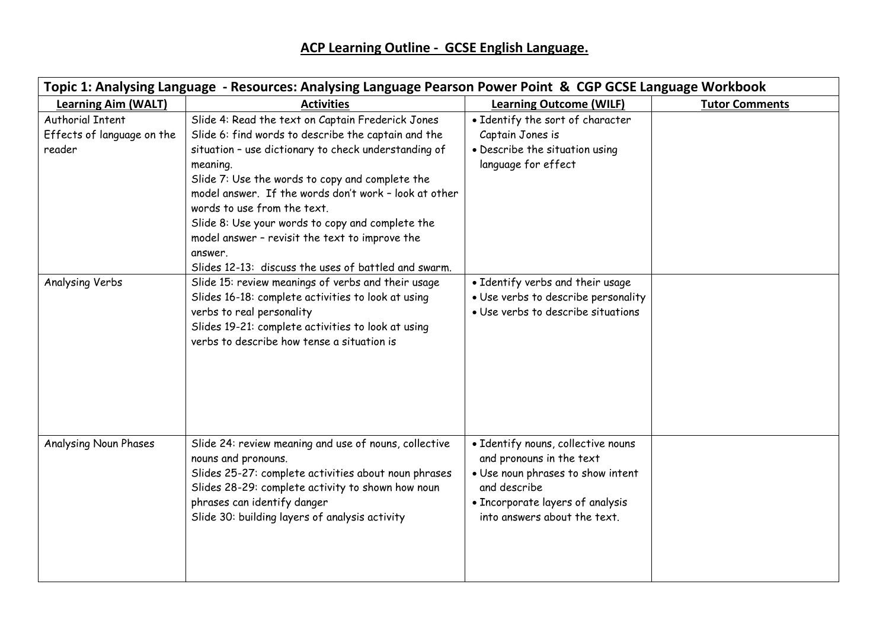| Topic 1: Analysing Language - Resources: Analysing Language Pearson Power Point & CGP GCSE Language Workbook |                                                                                                                                                                                                                                                                                                                                                                                                                                                                                                  |                                                                                                                                                                                         |                       |  |  |  |
|--------------------------------------------------------------------------------------------------------------|--------------------------------------------------------------------------------------------------------------------------------------------------------------------------------------------------------------------------------------------------------------------------------------------------------------------------------------------------------------------------------------------------------------------------------------------------------------------------------------------------|-----------------------------------------------------------------------------------------------------------------------------------------------------------------------------------------|-----------------------|--|--|--|
| <b>Learning Aim (WALT)</b>                                                                                   | <b>Activities</b>                                                                                                                                                                                                                                                                                                                                                                                                                                                                                | <b>Learning Outcome (WILF)</b>                                                                                                                                                          | <b>Tutor Comments</b> |  |  |  |
| <b>Authorial Intent</b><br>Effects of language on the<br>reader                                              | Slide 4: Read the text on Captain Frederick Jones<br>Slide 6: find words to describe the captain and the<br>situation - use dictionary to check understanding of<br>meaning.<br>Slide 7: Use the words to copy and complete the<br>model answer. If the words don't work - look at other<br>words to use from the text.<br>Slide 8: Use your words to copy and complete the<br>model answer - revisit the text to improve the<br>answer.<br>Slides 12-13: discuss the uses of battled and swarm. | • Identify the sort of character<br>Captain Jones is<br>• Describe the situation using<br>language for effect                                                                           |                       |  |  |  |
| Analysing Verbs                                                                                              | Slide 15: review meanings of verbs and their usage<br>Slides 16-18: complete activities to look at using<br>verbs to real personality<br>Slides 19-21: complete activities to look at using<br>verbs to describe how tense a situation is                                                                                                                                                                                                                                                        | • Identify verbs and their usage<br>· Use verbs to describe personality<br>· Use verbs to describe situations                                                                           |                       |  |  |  |
| <b>Analysing Noun Phases</b>                                                                                 | Slide 24: review meaning and use of nouns, collective<br>nouns and pronouns.<br>Slides 25-27: complete activities about noun phrases<br>Slides 28-29: complete activity to shown how noun<br>phrases can identify danger<br>Slide 30: building layers of analysis activity                                                                                                                                                                                                                       | • Identify nouns, collective nouns<br>and pronouns in the text<br>. Use noun phrases to show intent<br>and describe<br>• Incorporate layers of analysis<br>into answers about the text. |                       |  |  |  |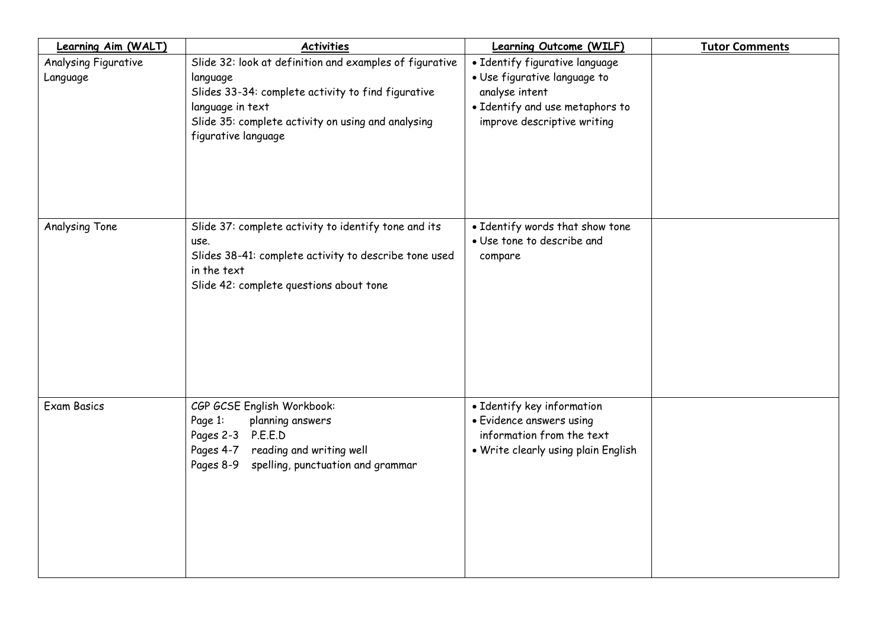| Learning Aim (WALT)              | <b>Activities</b>                                                                                                                                                                                                          | <b>Learning Outcome (WILF)</b>                                                                                                                     | <b>Tutor Comments</b> |
|----------------------------------|----------------------------------------------------------------------------------------------------------------------------------------------------------------------------------------------------------------------------|----------------------------------------------------------------------------------------------------------------------------------------------------|-----------------------|
| Analysing Figurative<br>Language | Slide 32: look at definition and examples of figurative<br>language<br>Slides 33-34: complete activity to find figurative<br>language in text<br>Slide 35: complete activity on using and analysing<br>figurative language | • Identify figurative language<br>· Use figurative language to<br>analyse intent<br>• Identify and use metaphors to<br>improve descriptive writing |                       |
| Analysing Tone                   | Slide 37: complete activity to identify tone and its<br>use.<br>Slides 38-41: complete activity to describe tone used<br>in the text<br>Slide 42: complete questions about tone                                            | • Identify words that show tone<br>· Use tone to describe and<br>compare                                                                           |                       |
| <b>Exam Basics</b>               | CGP GCSE English Workbook:<br>Page 1:<br>planning answers<br>P.E.E.D<br>Pages 2-3<br>reading and writing well<br>Pages 4-7<br>spelling, punctuation and grammar<br>Pages 8-9                                               | • Identify key information<br>• Evidence answers using<br>information from the text<br>. Write clearly using plain English                         |                       |